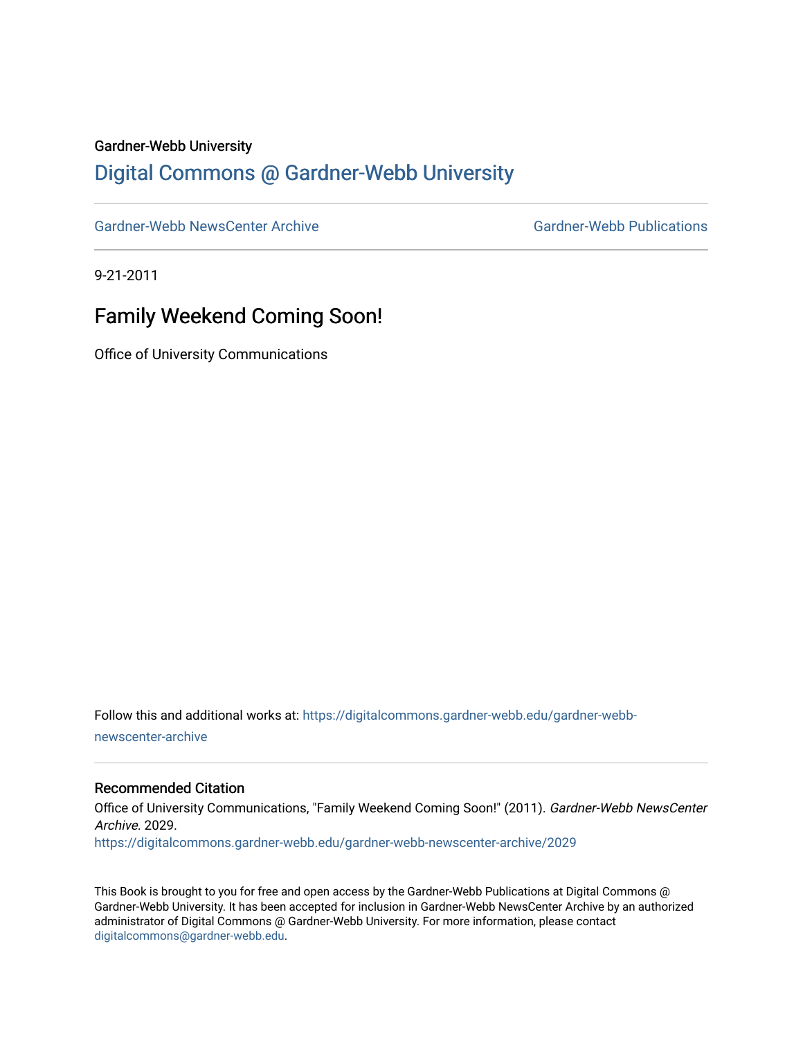#### Gardner-Webb University

## [Digital Commons @ Gardner-Webb University](https://digitalcommons.gardner-webb.edu/)

[Gardner-Webb NewsCenter Archive](https://digitalcommons.gardner-webb.edu/gardner-webb-newscenter-archive) Gardner-Webb Publications

9-21-2011

# Family Weekend Coming Soon!

Office of University Communications

Follow this and additional works at: [https://digitalcommons.gardner-webb.edu/gardner-webb](https://digitalcommons.gardner-webb.edu/gardner-webb-newscenter-archive?utm_source=digitalcommons.gardner-webb.edu%2Fgardner-webb-newscenter-archive%2F2029&utm_medium=PDF&utm_campaign=PDFCoverPages)[newscenter-archive](https://digitalcommons.gardner-webb.edu/gardner-webb-newscenter-archive?utm_source=digitalcommons.gardner-webb.edu%2Fgardner-webb-newscenter-archive%2F2029&utm_medium=PDF&utm_campaign=PDFCoverPages)

#### Recommended Citation

Office of University Communications, "Family Weekend Coming Soon!" (2011). Gardner-Webb NewsCenter Archive. 2029. [https://digitalcommons.gardner-webb.edu/gardner-webb-newscenter-archive/2029](https://digitalcommons.gardner-webb.edu/gardner-webb-newscenter-archive/2029?utm_source=digitalcommons.gardner-webb.edu%2Fgardner-webb-newscenter-archive%2F2029&utm_medium=PDF&utm_campaign=PDFCoverPages) 

This Book is brought to you for free and open access by the Gardner-Webb Publications at Digital Commons @ Gardner-Webb University. It has been accepted for inclusion in Gardner-Webb NewsCenter Archive by an authorized administrator of Digital Commons @ Gardner-Webb University. For more information, please contact [digitalcommons@gardner-webb.edu](mailto:digitalcommons@gardner-webb.edu).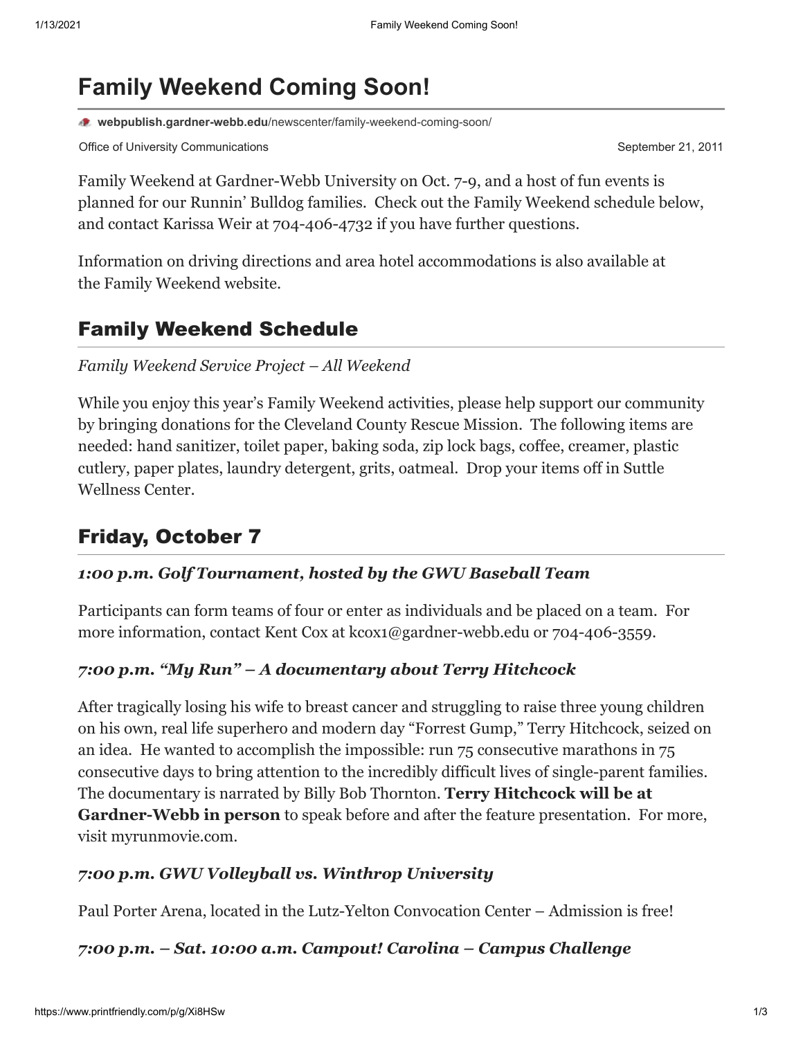# **Family Weekend Coming Soon!**

**webpublish.gardner-webb.edu**[/newscenter/family-weekend-coming-soon/](https://webpublish.gardner-webb.edu/newscenter/family-weekend-coming-soon/)

Office of University Communications **September 21, 2011** September 21, 2011

Family Weekend at Gardner-Webb University on Oct. 7-9, and a host of fun events is planned for our Runnin' Bulldog families. Check out the Family Weekend schedule below, and contact [Karissa Weir](mailto:%20kweir@gardner-webb.edu) at 704-406-4732 if you have further questions.

Information on driving directions and area hotel accommodations is also available at the [Family Weekend website.](http://gardner-webb.edu/student-life/student-activities/family-weekend/index.html)

# Family Weekend Schedule

#### *Family Weekend Service Project – All Weekend*

While you enjoy this year's Family Weekend activities, please help support our community by bringing donations for the Cleveland County Rescue Mission. The following items are needed: hand sanitizer, toilet paper, baking soda, zip lock bags, coffee, creamer, plastic cutlery, paper plates, laundry detergent, grits, oatmeal. Drop your items off in Suttle Wellness Center.

# Friday, October 7

#### *1:00 p.m. Golf Tournament, hosted by the GWU Baseball Team*

Participants can form teams of four or enter as individuals and be placed on a team. For more information, contact Kent Cox at [kcox1@gardner-webb.edu](mailto:kcox1@gardner-webb.edu) or 704-406-3559.

#### *7:00 p.m. "My Run" – A documentary about Terry Hitchcock*

After tragically losing his wife to breast cancer and struggling to raise three young children on his own, real life superhero and modern day "Forrest Gump," Terry Hitchcock, seized on an idea. He wanted to accomplish the impossible: run 75 consecutive marathons in 75 consecutive days to bring attention to the incredibly difficult lives of single-parent families. The documentary is narrated by Billy Bob Thornton. **Terry Hitchcock will be at Gardner-Webb in person** to speak before and after the feature presentation. For more, visit [myrunmovie.com](http://www.myrunmovie.com/).

#### *7:00 p.m. GWU Volleyball vs. Winthrop University*

Paul Porter Arena, located in the Lutz-Yelton Convocation Center – Admission is free!

#### *7:00 p.m. – Sat. 10:00 a.m. Campout! Carolina – Campus Challenge*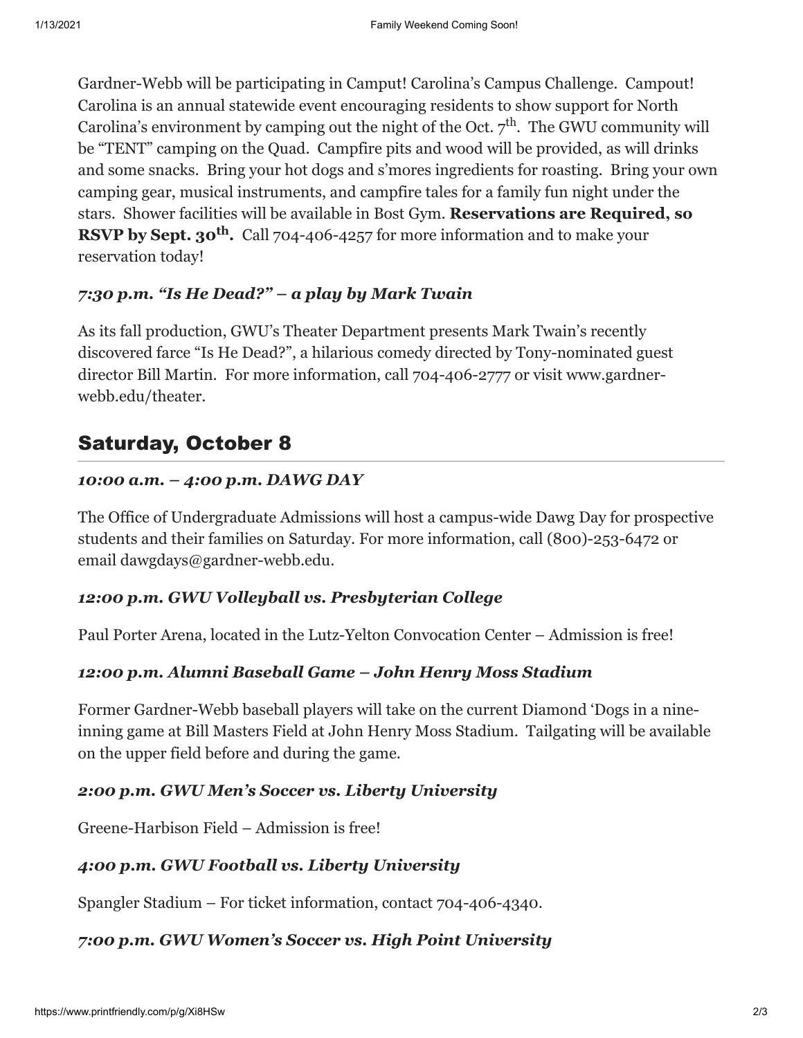Gardner-Webb will be participating in Camput! Carolina's Campus Challenge. Campout! Carolina is an annual statewide event encouraging residents to show support for North Carolina's environment by camping out the night of the Oct.  $7^{\text{th}}$ . The GWU community will be "TENT" camping on the Quad. Campfire pits and wood will be provided, as will drinks and some snacks. Bring your hot dogs and s'mores ingredients for roasting. Bring your own camping gear, musical instruments, and campfire tales for a family fun night under the stars. Shower facilities will be available in Bost Gym. **Reservations are Required, so RSVP by Sept. 30<sup>th</sup>.** Call 704-406-4257 for more information and to make your reservation today!

## *7:30 p.m. "Is He Dead?" – a play by Mark Twain*

As its fall production, GWU's Theater Department presents Mark Twain's recently discovered farce "Is He Dead?", a hilarious comedy directed by Tony-nominated guest [director Bill Martin. For more information, call 704-406-2777 or visit www.gardner](http://www.gardner-webb.edu/theater)webb.edu/theater.

# Saturday, October 8

## *10:00 a.m. – 4:00 p.m. DAWG DAY*

The Office of Undergraduate Admissions will host a campus-wide Dawg Day for prospective students and their families on Saturday. For more information, call (800)-253-6472 or email [dawgdays@gardner-webb.edu](mailto:dawgdays@gardner-webb.edu).

## *12:00 p.m. GWU Volleyball vs. Presbyterian College*

Paul Porter Arena, located in the Lutz-Yelton Convocation Center – Admission is free!

## *12:00 p.m. Alumni Baseball Game – John Henry Moss Stadium*

Former Gardner-Webb baseball players will take on the current Diamond 'Dogs in a nineinning game at Bill Masters Field at John Henry Moss Stadium. Tailgating will be available on the upper field before and during the game.

## *2:00 p.m. GWU Men's Soccer vs. Liberty University*

Greene-Harbison Field – Admission is free!

## *4:00 p.m. GWU Football vs. Liberty University*

Spangler Stadium – For ticket information, contact 704-406-4340.

## *7:00 p.m. GWU Women's Soccer vs. High Point University*